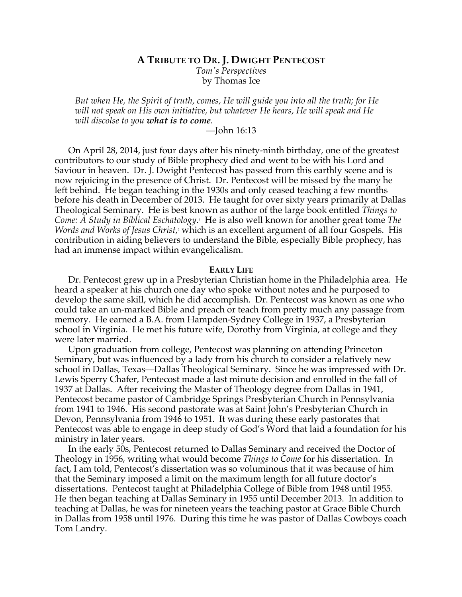### **A TRIBUTE TO DR. J. DWIGHT PENTECOST**

*Tom's Perspectives* by Thomas Ice

*But when He, the Spirit of truth, comes, He will guide you into all the truth; for He will not speak on His own initiative, but whatever He hears, He will speak and He will discolse to you what is to come.*

# —John 16:13

On April 28, 2014, just four days after his ninety-ninth birthday, one of the greatest contributors to our study of Bible prophecy died and went to be with his Lord and Saviour in heaven. Dr. J. Dwight Pentecost has passed from this earthly scene and is now rejoicing in the presence of Christ. Dr. Pentecost will be missed by the many he left behind. He began teaching in the 1930s and only ceased teaching a few months before his death in December of 2013. He taught for over sixty years primarily at Dallas Theological Seminary. He is best known as author of the large book entitled *Things to Come: A Study in Biblical Eschatology*. 1 He is also well known for another great tome *The*  Words and Works of Jesus Christ,<sup>2</sup> which is an excellent argument of all four Gospels. His contribution in aiding believers to understand the Bible, especially Bible prophecy, has had an immense impact within evangelicalism.

### **EARLY LIFE**

Dr. Pentecost grew up in a Presbyterian Christian home in the Philadelphia area. He heard a speaker at his church one day who spoke without notes and he purposed to develop the same skill, which he did accomplish. Dr. Pentecost was known as one who could take an un-marked Bible and preach or teach from pretty much any passage from memory. He earned a B.A. from Hampden-Sydney College in 1937, a Presbyterian school in Virginia. He met his future wife, Dorothy from Virginia, at college and they were later married.

Upon graduation from college, Pentecost was planning on attending Princeton Seminary, but was influenced by a lady from his church to consider a relatively new school in Dallas, Texas—Dallas Theological Seminary. Since he was impressed with Dr. Lewis Sperry Chafer, Pentecost made a last minute decision and enrolled in the fall of 1937 at Dallas. After receiving the Master of Theology degree from Dallas in 1941, Pentecost became pastor of Cambridge Springs Presbyterian Church in Pennsylvania from 1941 to 1946. His second pastorate was at Saint John's Presbyterian Church in Devon, Pennsylvania from 1946 to 1951. It was during these early pastorates that Pentecost was able to engage in deep study of God's Word that laid a foundation for his ministry in later years.

In the early 50s, Pentecost returned to Dallas Seminary and received the Doctor of Theology in 1956, writing what would become *Things to Come* for his dissertation. In fact, I am told, Pentecost's dissertation was so voluminous that it was because of him that the Seminary imposed a limit on the maximum length for all future doctor's dissertations. Pentecost taught at Philadelphia College of Bible from 1948 until 1955. He then began teaching at Dallas Seminary in 1955 until December 2013. In addition to teaching at Dallas, he was for nineteen years the teaching pastor at Grace Bible Church in Dallas from 1958 until 1976. During this time he was pastor of Dallas Cowboys coach Tom Landry.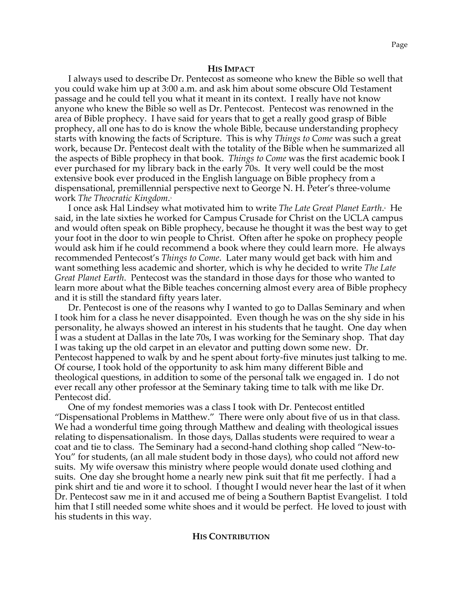#### **HIS IMPACT**

I always used to describe Dr. Pentecost as someone who knew the Bible so well that you could wake him up at 3:00 a.m. and ask him about some obscure Old Testament passage and he could tell you what it meant in its context. I really have not know anyone who knew the Bible so well as Dr. Pentecost. Pentecost was renowned in the area of Bible prophecy. I have said for years that to get a really good grasp of Bible prophecy, all one has to do is know the whole Bible, because understanding prophecy starts with knowing the facts of Scripture. This is why *Things to Come* was such a great work, because Dr. Pentecost dealt with the totality of the Bible when he summarized all the aspects of Bible prophecy in that book. *Things to Come* was the first academic book I ever purchased for my library back in the early 70s. It very well could be the most extensive book ever produced in the English language on Bible prophecy from a dispensational, premillennial perspective next to George N. H. Peter's three-volume work *The Theocratic Kingdom*. 3

I once ask Hal Lindsey what motivated him to write *The Late Great Planet Earth*.<sup>4</sup> He said, in the late sixties he worked for Campus Crusade for Christ on the UCLA campus and would often speak on Bible prophecy, because he thought it was the best way to get your foot in the door to win people to Christ. Often after he spoke on prophecy people would ask him if he could recommend a book where they could learn more. He always recommended Pentecost's *Things to Come*. Later many would get back with him and want something less academic and shorter, which is why he decided to write *The Late Great Planet Earth*. Pentecost was the standard in those days for those who wanted to learn more about what the Bible teaches concerning almost every area of Bible prophecy and it is still the standard fifty years later.

Dr. Pentecost is one of the reasons why I wanted to go to Dallas Seminary and when I took him for a class he never disappointed. Even though he was on the shy side in his personality, he always showed an interest in his students that he taught. One day when I was a student at Dallas in the late 70s, I was working for the Seminary shop. That day I was taking up the old carpet in an elevator and putting down some new. Dr. Pentecost happened to walk by and he spent about forty-five minutes just talking to me. Of course, I took hold of the opportunity to ask him many different Bible and theological questions, in addition to some of the personal talk we engaged in. I do not ever recall any other professor at the Seminary taking time to talk with me like Dr. Pentecost did.

One of my fondest memories was a class I took with Dr. Pentecost entitled "Dispensational Problems in Matthew." There were only about five of us in that class. We had a wonderful time going through Matthew and dealing with theological issues relating to dispensationalism. In those days, Dallas students were required to wear a coat and tie to class. The Seminary had a second-hand clothing shop called "New-to-You" for students, (an all male student body in those days), who could not afford new suits. My wife oversaw this ministry where people would donate used clothing and suits. One day she brought home a nearly new pink suit that fit me perfectly. I had a pink shirt and tie and wore it to school. I thought I would never hear the last of it when Dr. Pentecost saw me in it and accused me of being a Southern Baptist Evangelist. I told him that I still needed some white shoes and it would be perfect. He loved to joust with his students in this way.

### **HIS CONTRIBUTION**